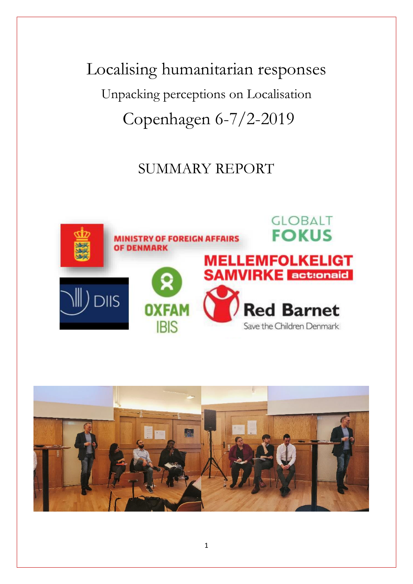Localising humanitarian responses Unpacking perceptions on Localisation Copenhagen 6-7/2-2019

# SUMMARY REPORT



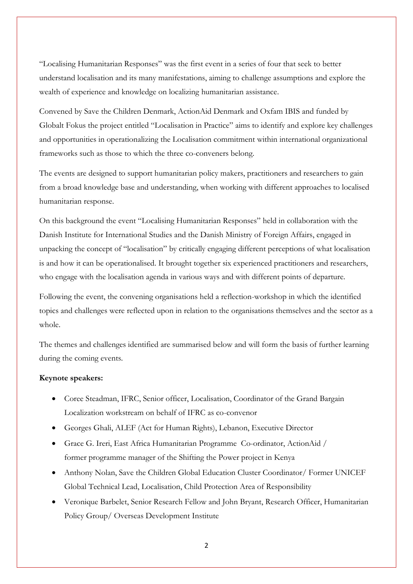"Localising Humanitarian Responses" was the first event in a series of four that seek to better understand localisation and its many manifestations, aiming to challenge assumptions and explore the wealth of experience and knowledge on localizing humanitarian assistance.

Convened by Save the Children Denmark, ActionAid Denmark and Oxfam IBIS and funded by Globalt Fokus the project entitled "Localisation in Practice" aims to identify and explore key challenges and opportunities in operationalizing the Localisation commitment within international organizational frameworks such as those to which the three co-conveners belong.

The events are designed to support humanitarian policy makers, practitioners and researchers to gain from a broad knowledge base and understanding, when working with different approaches to localised humanitarian response.

On this background the event "Localising Humanitarian Responses" held in collaboration with the Danish Institute for International Studies and the Danish Ministry of Foreign Affairs, engaged in unpacking the concept of "localisation" by critically engaging different perceptions of what localisation is and how it can be operationalised. It brought together six experienced practitioners and researchers, who engage with the localisation agenda in various ways and with different points of departure.

Following the event, the convening organisations held a reflection-workshop in which the identified topics and challenges were reflected upon in relation to the organisations themselves and the sector as a whole.

The themes and challenges identified are summarised below and will form the basis of further learning during the coming events.

#### **Keynote speakers:**

- Coree Steadman, IFRC, Senior officer, Localisation, Coordinator of the Grand Bargain Localization workstream on behalf of IFRC as co-convenor
- Georges Ghali, ALEF (Act for Human Rights), Lebanon, Executive Director
- Grace G. Ireri, East Africa Humanitarian Programme Co-ordinator, ActionAid / former programme manager of the Shifting the Power project in Kenya
- Anthony Nolan, Save the Children Global Education Cluster Coordinator/ Former UNICEF Global Technical Lead, Localisation, Child Protection Area of Responsibility
- Veronique Barbelet, Senior Research Fellow and John Bryant, Research Officer, Humanitarian Policy Group/ Overseas Development Institute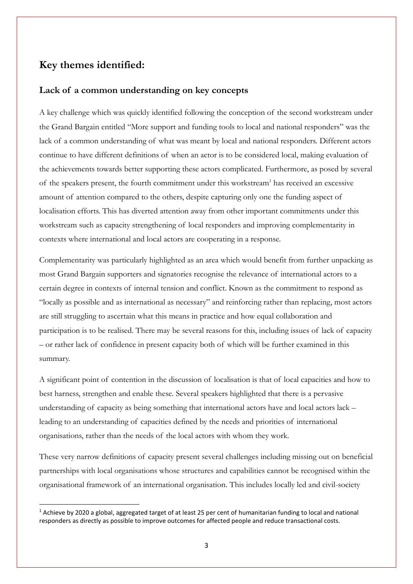### **Key themes identified:**

**.** 

#### **Lack of a common understanding on key concepts**

A key challenge which was quickly identified following the conception of the second workstream under the Grand Bargain entitled "More support and funding tools to local and national responders" was the lack of a common understanding of what was meant by local and national responders. Different actors continue to have different definitions of when an actor is to be considered local, making evaluation of the achievements towards better supporting these actors complicated. Furthermore, as posed by several of the speakers present, the fourth commitment under this workstream<sup>1</sup> has received an excessive amount of attention compared to the others, despite capturing only one the funding aspect of localisation efforts. This has diverted attention away from other important commitments under this workstream such as capacity strengthening of local responders and improving complementarity in contexts where international and local actors are cooperating in a response.

Complementarity was particularly highlighted as an area which would benefit from further unpacking as most Grand Bargain supporters and signatories recognise the relevance of international actors to a certain degree in contexts of internal tension and conflict. Known as the commitment to respond as "locally as possible and as international as necessary" and reinforcing rather than replacing, most actors are still struggling to ascertain what this means in practice and how equal collaboration and participation is to be realised. There may be several reasons for this, including issues of lack of capacity – or rather lack of confidence in present capacity both of which will be further examined in this summary.

A significant point of contention in the discussion of localisation is that of local capacities and how to best harness, strengthen and enable these. Several speakers highlighted that there is a pervasive understanding of capacity as being something that international actors have and local actors lack – leading to an understanding of capacities defined by the needs and priorities of international organisations, rather than the needs of the local actors with whom they work.

These very narrow definitions of capacity present several challenges including missing out on beneficial partnerships with local organisations whose structures and capabilities cannot be recognised within the organisational framework of an international organisation. This includes locally led and civil-society

 $1$  Achieve by 2020 a global, aggregated target of at least 25 per cent of humanitarian funding to local and national responders as directly as possible to improve outcomes for affected people and reduce transactional costs.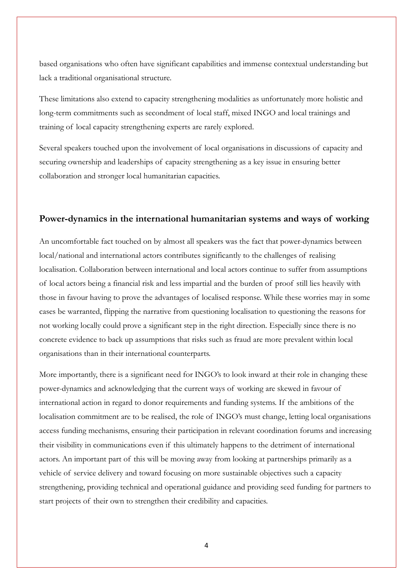based organisations who often have significant capabilities and immense contextual understanding but lack a traditional organisational structure.

These limitations also extend to capacity strengthening modalities as unfortunately more holistic and long-term commitments such as secondment of local staff, mixed INGO and local trainings and training of local capacity strengthening experts are rarely explored.

Several speakers touched upon the involvement of local organisations in discussions of capacity and securing ownership and leaderships of capacity strengthening as a key issue in ensuring better collaboration and stronger local humanitarian capacities.

#### **Power-dynamics in the international humanitarian systems and ways of working**

An uncomfortable fact touched on by almost all speakers was the fact that power-dynamics between local/national and international actors contributes significantly to the challenges of realising localisation. Collaboration between international and local actors continue to suffer from assumptions of local actors being a financial risk and less impartial and the burden of proof still lies heavily with those in favour having to prove the advantages of localised response. While these worries may in some cases be warranted, flipping the narrative from questioning localisation to questioning the reasons for not working locally could prove a significant step in the right direction. Especially since there is no concrete evidence to back up assumptions that risks such as fraud are more prevalent within local organisations than in their international counterparts.

More importantly, there is a significant need for INGO's to look inward at their role in changing these power-dynamics and acknowledging that the current ways of working are skewed in favour of international action in regard to donor requirements and funding systems. If the ambitions of the localisation commitment are to be realised, the role of INGO's must change, letting local organisations access funding mechanisms, ensuring their participation in relevant coordination forums and increasing their visibility in communications even if this ultimately happens to the detriment of international actors. An important part of this will be moving away from looking at partnerships primarily as a vehicle of service delivery and toward focusing on more sustainable objectives such a capacity strengthening, providing technical and operational guidance and providing seed funding for partners to start projects of their own to strengthen their credibility and capacities.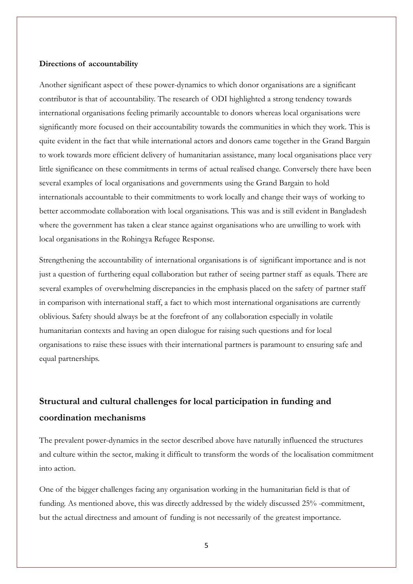#### **Directions of accountability**

Another significant aspect of these power-dynamics to which donor organisations are a significant contributor is that of accountability. The research of ODI highlighted a strong tendency towards international organisations feeling primarily accountable to donors whereas local organisations were significantly more focused on their accountability towards the communities in which they work. This is quite evident in the fact that while international actors and donors came together in the Grand Bargain to work towards more efficient delivery of humanitarian assistance, many local organisations place very little significance on these commitments in terms of actual realised change. Conversely there have been several examples of local organisations and governments using the Grand Bargain to hold internationals accountable to their commitments to work locally and change their ways of working to better accommodate collaboration with local organisations. This was and is still evident in Bangladesh where the government has taken a clear stance against organisations who are unwilling to work with local organisations in the Rohingya Refugee Response.

Strengthening the accountability of international organisations is of significant importance and is not just a question of furthering equal collaboration but rather of seeing partner staff as equals. There are several examples of overwhelming discrepancies in the emphasis placed on the safety of partner staff in comparison with international staff, a fact to which most international organisations are currently oblivious. Safety should always be at the forefront of any collaboration especially in volatile humanitarian contexts and having an open dialogue for raising such questions and for local organisations to raise these issues with their international partners is paramount to ensuring safe and equal partnerships.

## **Structural and cultural challenges for local participation in funding and coordination mechanisms**

The prevalent power-dynamics in the sector described above have naturally influenced the structures and culture within the sector, making it difficult to transform the words of the localisation commitment into action.

One of the bigger challenges facing any organisation working in the humanitarian field is that of funding. As mentioned above, this was directly addressed by the widely discussed 25% -commitment, but the actual directness and amount of funding is not necessarily of the greatest importance.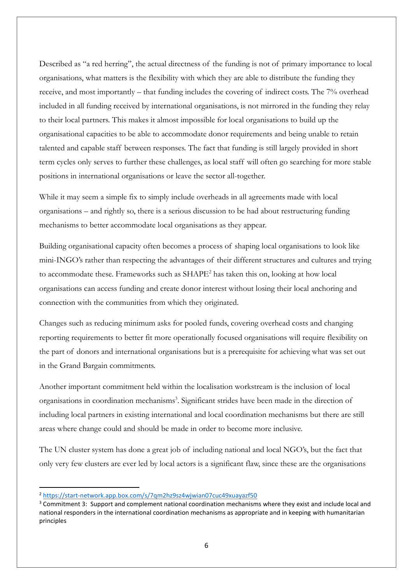Described as "a red herring", the actual directness of the funding is not of primary importance to local organisations, what matters is the flexibility with which they are able to distribute the funding they receive, and most importantly – that funding includes the covering of indirect costs. The 7% overhead included in all funding received by international organisations, is not mirrored in the funding they relay to their local partners. This makes it almost impossible for local organisations to build up the organisational capacities to be able to accommodate donor requirements and being unable to retain talented and capable staff between responses. The fact that funding is still largely provided in short term cycles only serves to further these challenges, as local staff will often go searching for more stable positions in international organisations or leave the sector all-together.

While it may seem a simple fix to simply include overheads in all agreements made with local organisations – and rightly so, there is a serious discussion to be had about restructuring funding mechanisms to better accommodate local organisations as they appear.

Building organisational capacity often becomes a process of shaping local organisations to look like mini-INGO's rather than respecting the advantages of their different structures and cultures and trying to accommodate these. Frameworks such as SHAPE<sup>2</sup> has taken this on, looking at how local organisations can access funding and create donor interest without losing their local anchoring and connection with the communities from which they originated.

Changes such as reducing minimum asks for pooled funds, covering overhead costs and changing reporting requirements to better fit more operationally focused organisations will require flexibility on the part of donors and international organisations but is a prerequisite for achieving what was set out in the Grand Bargain commitments.

Another important commitment held within the localisation workstream is the inclusion of local organisations in coordination mechanisms<sup>3</sup>. Significant strides have been made in the direction of including local partners in existing international and local coordination mechanisms but there are still areas where change could and should be made in order to become more inclusive.

The UN cluster system has done a great job of including national and local NGO's, but the fact that only very few clusters are ever led by local actors is a significant flaw, since these are the organisations

 $\overline{\phantom{a}}$ 

<sup>2</sup> <https://start-network.app.box.com/s/7qm2hz9sz4wjwian07cuc49xuayazf50>

<sup>&</sup>lt;sup>3</sup> Commitment 3: Support and complement national coordination mechanisms where they exist and include local and national responders in the international coordination mechanisms as appropriate and in keeping with humanitarian principles